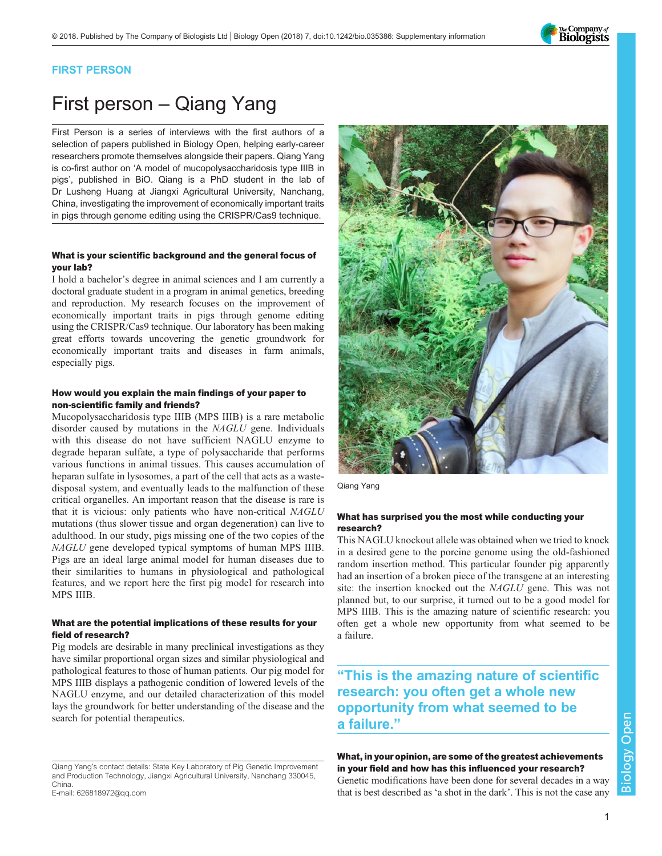

## FIRST PERSON

# First person – Qiang Yang

First Person is a series of interviews with the first authors of a selection of papers published in Biology Open, helping early-career researchers promote themselves alongside their papers. Qiang Yang is co-first author on '[A model of mucopolysaccharidosis type IIIB in](#page-1-0) [pigs](#page-1-0)', published in BiO. Qiang is a PhD student in the lab of Dr Lusheng Huang at Jiangxi Agricultural University, Nanchang, China, investigating the improvement of economically important traits in pigs through genome editing using the CRISPR/Cas9 technique.

### What is your scientific background and the general focus of your lab?

I hold a bachelor's degree in animal sciences and I am currently a doctoral graduate student in a program in animal genetics, breeding and reproduction. My research focuses on the improvement of economically important traits in pigs through genome editing using the CRISPR/Cas9 technique. Our laboratory has been making great efforts towards uncovering the genetic groundwork for economically important traits and diseases in farm animals, especially pigs.

### How would you explain the main findings of your paper to non-scientific family and friends?

Mucopolysaccharidosis type IIIB (MPS IIIB) is a rare metabolic disorder caused by mutations in the NAGLU gene. Individuals with this disease do not have sufficient NAGLU enzyme to degrade heparan sulfate, a type of polysaccharide that performs various functions in animal tissues. This causes accumulation of heparan sulfate in lysosomes, a part of the cell that acts as a wastedisposal system, and eventually leads to the malfunction of these critical organelles. An important reason that the disease is rare is that it is vicious: only patients who have non-critical NAGLU mutations (thus slower tissue and organ degeneration) can live to adulthood. In our study, pigs missing one of the two copies of the NAGLU gene developed typical symptoms of human MPS IIIB. Pigs are an ideal large animal model for human diseases due to their similarities to humans in physiological and pathological features, and we report here the first pig model for research into MPS IIIB.

### What are the potential implications of these results for your field of research?

Pig models are desirable in many preclinical investigations as they have similar proportional organ sizes and similar physiological and pathological features to those of human patients. Our pig model for MPS IIIB displays a pathogenic condition of lowered levels of the NAGLU enzyme, and our detailed characterization of this model lays the groundwork for better understanding of the disease and the search for potential therapeutics.

Qiang Yang's contact details: State Key Laboratory of Pig Genetic Improvement and Production Technology, Jiangxi Agricultural University, Nanchang 330045, China.





Qiang Yang

### What has surprised you the most while conducting your research?

This NAGLU knockout allele was obtained when we tried to knock in a desired gene to the porcine genome using the old-fashioned random insertion method. This particular founder pig apparently had an insertion of a broken piece of the transgene at an interesting site: the insertion knocked out the NAGLU gene. This was not planned but, to our surprise, it turned out to be a good model for MPS IIIB. This is the amazing nature of scientific research: you often get a whole new opportunity from what seemed to be a failure.

# "This is the amazing nature of scientific research: you often get a whole new opportunity from what seemed to be a failure."

## What, in your opinion, are some of the greatest achievements in your field and how has this influenced your research?

Genetic modifications have been done for several decades in a way that is best described as 'a shot in the dark'. This is not the case any